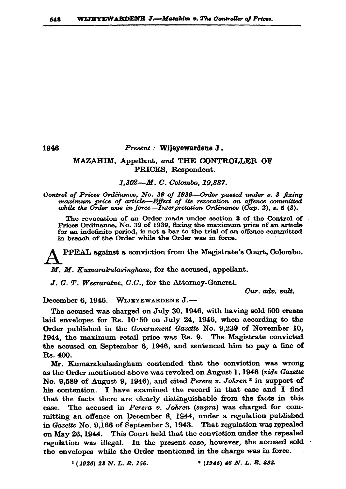1946

## Present : Wiieyewardene J.

## MAZAHIM, Appellant, and THE CONTROLLER OF PRICES, Respondent.

1,302-M. C. Colombo, 19,887.

Control of Prices Ordinance, No. 39 of 1939-Order passed under s. 3 fixing maximum price of article-Effect of its revocation on offence committed while the Order was in force—Interpretation Ordinance ( $\tilde{Cap}.$  2), s. 6 (3).

The revocation of an Order made under section 3 of the Control of Prices Ordinance, No. 39 of 1939, fixing the maximum price of an article for an indefinite period, is not a bar to the trial of an offence committed in breach of the Order while the Order was in force.

PPEAL against a conviction from the Magistrate's Court, Colombo.

M. M. Kumarakulasingham, for the accused, appellant.

J. G. T. Weeraratne, C.C., for the Attorney-General.

Cur. adv. vult.

December 6, 1946. WIJEYEWARDENE J .--

The accused was charged on July 30, 1946, with having sold 500 cream laid envelopes for Rs. 10.50 on July 24, 1946, when according to the Order published in the Government Gazette No. 9,239 of November 10, 1944, the maximum retail price was Rs. 9. The Magistrate convicted the accused on September 6, 1946, and sentenced him to pay a fine of Rs. 400.

Mr. Kumarakulasingham contended that the conviction was wrong as the Order mentioned above was revoked on August 1, 1946 (vide Gazette No. 9,589 of August 9, 1946), and cited Perera v. Johren<sup>2</sup> in support of his contention. I have examined the record in that case and I find that the facts there are clearly distinguishable from the facts in this case. The accused in Perera v. Johren (supra) was charged for committing an offence on December 8, 1944, under a regulation published in Gazette No. 9,166 of September 3, 1943. That regulation was repealed on May 26, 1944. This Court held that the conviction under the repealed regulation was illegal. In the present case, however, the accused sold the envelopes while the Order mentioned in the charge was in force.

> $(1926)$  28 N.L.R. 156.  $(1945)$  46 N. L. R. 333.